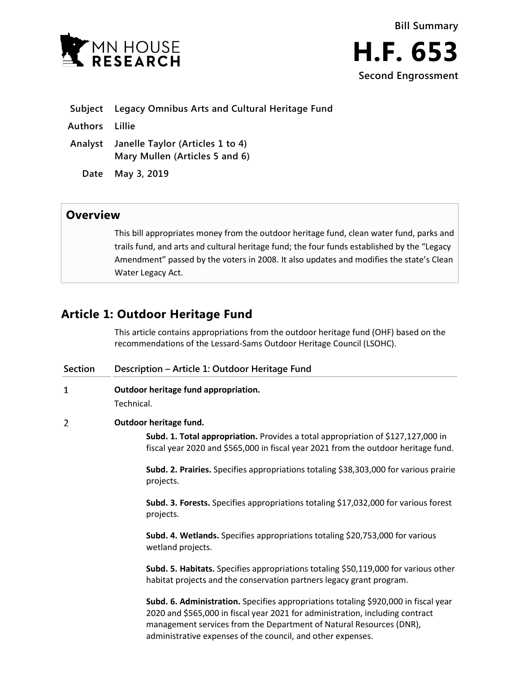



|  |  | Subject Legacy Omnibus Arts and Cultural Heritage Fund |  |  |  |  |
|--|--|--------------------------------------------------------|--|--|--|--|
|--|--|--------------------------------------------------------|--|--|--|--|

**Authors Lillie**

**Analyst Janelle Taylor (Articles 1 to 4) Mary Mullen (Articles 5 and 6)**

**Date May 3, 2019**

## **Overview**

This bill appropriates money from the outdoor heritage fund, clean water fund, parks and trails fund, and arts and cultural heritage fund; the four funds established by the "Legacy Amendment" passed by the voters in 2008. It also updates and modifies the state's Clean Water Legacy Act.

# **Article 1: Outdoor Heritage Fund**

This article contains appropriations from the outdoor heritage fund (OHF) based on the recommendations of the Lessard-Sams Outdoor Heritage Council (LSOHC).

| <b>Section</b> | Description - Article 1: Outdoor Heritage Fund                                                                                                                                                                                                                                                             |  |  |  |  |
|----------------|------------------------------------------------------------------------------------------------------------------------------------------------------------------------------------------------------------------------------------------------------------------------------------------------------------|--|--|--|--|
| $\mathbf{1}$   | Outdoor heritage fund appropriation.<br>Technical.                                                                                                                                                                                                                                                         |  |  |  |  |
| $\overline{2}$ | Outdoor heritage fund.<br>Subd. 1. Total appropriation. Provides a total appropriation of \$127,127,000 in<br>fiscal year 2020 and \$565,000 in fiscal year 2021 from the outdoor heritage fund.                                                                                                           |  |  |  |  |
|                | Subd. 2. Prairies. Specifies appropriations totaling \$38,303,000 for various prairie<br>projects.                                                                                                                                                                                                         |  |  |  |  |
|                | Subd. 3. Forests. Specifies appropriations totaling \$17,032,000 for various forest<br>projects.                                                                                                                                                                                                           |  |  |  |  |
|                | Subd. 4. Wetlands. Specifies appropriations totaling \$20,753,000 for various<br>wetland projects.                                                                                                                                                                                                         |  |  |  |  |
|                | Subd. 5. Habitats. Specifies appropriations totaling \$50,119,000 for various other<br>habitat projects and the conservation partners legacy grant program.                                                                                                                                                |  |  |  |  |
|                | Subd. 6. Administration. Specifies appropriations totaling \$920,000 in fiscal year<br>2020 and \$565,000 in fiscal year 2021 for administration, including contract<br>management services from the Department of Natural Resources (DNR),<br>administrative expenses of the council, and other expenses. |  |  |  |  |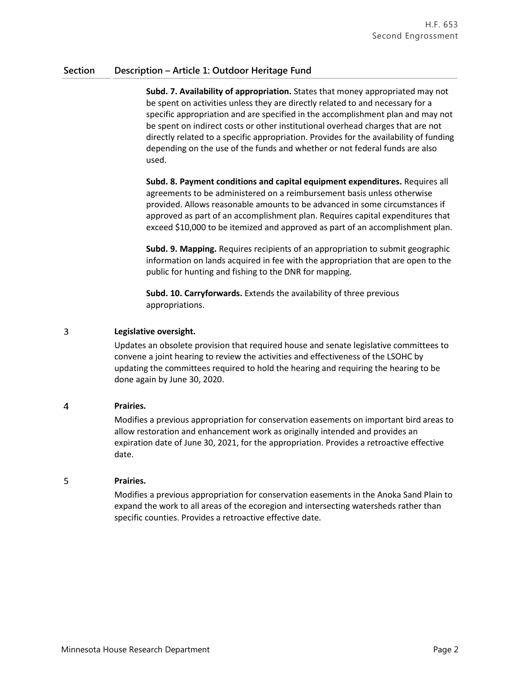### **Section Description – Article 1: Outdoor Heritage Fund**

**Subd. 7. Availability of appropriation.** States that money appropriated may not be spent on activities unless they are directly related to and necessary for a specific appropriation and are specified in the accomplishment plan and may not be spent on indirect costs or other institutional overhead charges that are not directly related to a specific appropriation. Provides for the availability of funding depending on the use of the funds and whether or not federal funds are also used.

**Subd. 8. Payment conditions and capital equipment expenditures.** Requires all agreements to be administered on a reimbursement basis unless otherwise provided. Allows reasonable amounts to be advanced in some circumstances if approved as part of an accomplishment plan. Requires capital expenditures that exceed \$10,000 to be itemized and approved as part of an accomplishment plan.

**Subd. 9. Mapping.** Requires recipients of an appropriation to submit geographic information on lands acquired in fee with the appropriation that are open to the public for hunting and fishing to the DNR for mapping.

**Subd. 10. Carryforwards.** Extends the availability of three previous appropriations.

#### 3 **Legislative oversight.**

Updates an obsolete provision that required house and senate legislative committees to convene a joint hearing to review the activities and effectiveness of the LSOHC by updating the committees required to hold the hearing and requiring the hearing to be done again by June 30, 2020.

#### $\overline{4}$ **Prairies.**

Modifies a previous appropriation for conservation easements on important bird areas to allow restoration and enhancement work as originally intended and provides an expiration date of June 30, 2021, for the appropriation. Provides a retroactive effective date.

#### 5 **Prairies.**

Modifies a previous appropriation for conservation easements in the Anoka Sand Plain to expand the work to all areas of the ecoregion and intersecting watersheds rather than specific counties. Provides a retroactive effective date.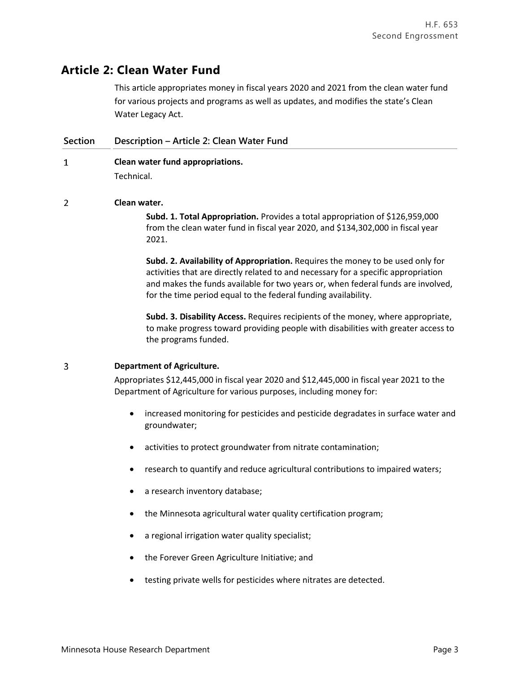## **Article 2: Clean Water Fund**

This article appropriates money in fiscal years 2020 and 2021 from the clean water fund for various projects and programs as well as updates, and modifies the state's Clean Water Legacy Act.

### **Section Description – Article 2: Clean Water Fund**

 $\mathbf{1}$ **Clean water fund appropriations.**

Technical.

 $\overline{2}$ **Clean water.**

> **Subd. 1. Total Appropriation.** Provides a total appropriation of \$126,959,000 from the clean water fund in fiscal year 2020, and \$134,302,000 in fiscal year 2021.

**Subd. 2. Availability of Appropriation.** Requires the money to be used only for activities that are directly related to and necessary for a specific appropriation and makes the funds available for two years or, when federal funds are involved, for the time period equal to the federal funding availability.

**Subd. 3. Disability Access.** Requires recipients of the money, where appropriate, to make progress toward providing people with disabilities with greater access to the programs funded.

#### 3 **Department of Agriculture.**

Appropriates \$12,445,000 in fiscal year 2020 and \$12,445,000 in fiscal year 2021 to the Department of Agriculture for various purposes, including money for:

- increased monitoring for pesticides and pesticide degradates in surface water and groundwater;
- activities to protect groundwater from nitrate contamination;
- research to quantify and reduce agricultural contributions to impaired waters;
- a research inventory database;
- the Minnesota agricultural water quality certification program;
- a regional irrigation water quality specialist;
- the Forever Green Agriculture Initiative; and
- testing private wells for pesticides where nitrates are detected.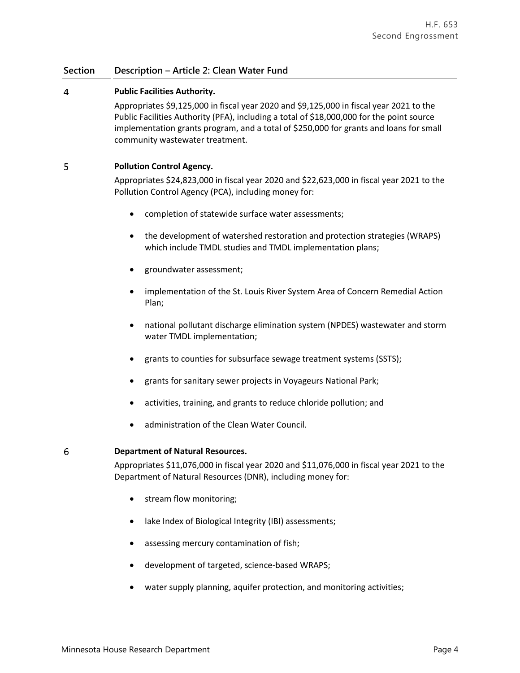#### $\overline{4}$ **Public Facilities Authority.**

Appropriates \$9,125,000 in fiscal year 2020 and \$9,125,000 in fiscal year 2021 to the Public Facilities Authority (PFA), including a total of \$18,000,000 for the point source implementation grants program, and a total of \$250,000 for grants and loans for small community wastewater treatment.

#### 5 **Pollution Control Agency.**

Appropriates \$24,823,000 in fiscal year 2020 and \$22,623,000 in fiscal year 2021 to the Pollution Control Agency (PCA), including money for:

- completion of statewide surface water assessments;
- the development of watershed restoration and protection strategies (WRAPS) which include TMDL studies and TMDL implementation plans;
- groundwater assessment;
- implementation of the St. Louis River System Area of Concern Remedial Action Plan;
- national pollutant discharge elimination system (NPDES) wastewater and storm water TMDL implementation;
- grants to counties for subsurface sewage treatment systems (SSTS);
- grants for sanitary sewer projects in Voyageurs National Park;
- activities, training, and grants to reduce chloride pollution; and
- administration of the Clean Water Council.

### **Department of Natural Resources.**

6

Appropriates \$11,076,000 in fiscal year 2020 and \$11,076,000 in fiscal year 2021 to the Department of Natural Resources (DNR), including money for:

- stream flow monitoring;
- lake Index of Biological Integrity (IBI) assessments;
- assessing mercury contamination of fish;
- development of targeted, science-based WRAPS;
- water supply planning, aquifer protection, and monitoring activities;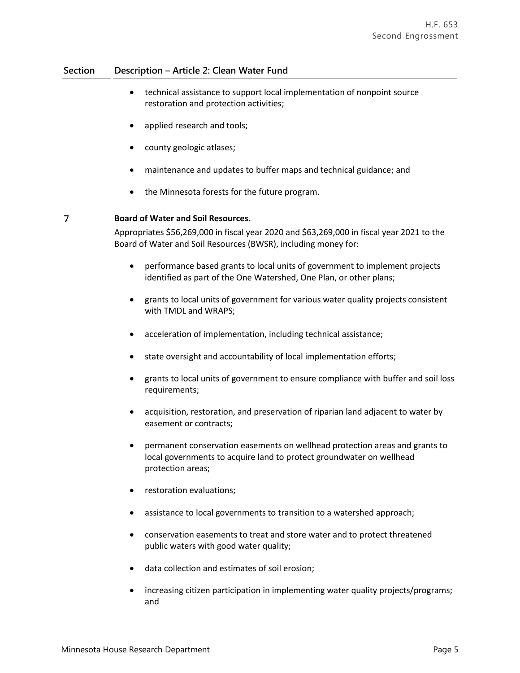- technical assistance to support local implementation of nonpoint source restoration and protection activities;
- applied research and tools;
- county geologic atlases;
- maintenance and updates to buffer maps and technical guidance; and
- the Minnesota forests for the future program.

#### $\overline{7}$ **Board of Water and Soil Resources.**

Appropriates \$56,269,000 in fiscal year 2020 and \$63,269,000 in fiscal year 2021 to the Board of Water and Soil Resources (BWSR), including money for:

- performance based grants to local units of government to implement projects identified as part of the One Watershed, One Plan, or other plans;
- grants to local units of government for various water quality projects consistent with TMDL and WRAPS;
- acceleration of implementation, including technical assistance;
- state oversight and accountability of local implementation efforts;
- grants to local units of government to ensure compliance with buffer and soil loss requirements;
- acquisition, restoration, and preservation of riparian land adjacent to water by easement or contracts;
- permanent conservation easements on wellhead protection areas and grants to local governments to acquire land to protect groundwater on wellhead protection areas;
- **•** restoration evaluations;
- assistance to local governments to transition to a watershed approach;
- conservation easements to treat and store water and to protect threatened public waters with good water quality;
- data collection and estimates of soil erosion;
- increasing citizen participation in implementing water quality projects/programs; and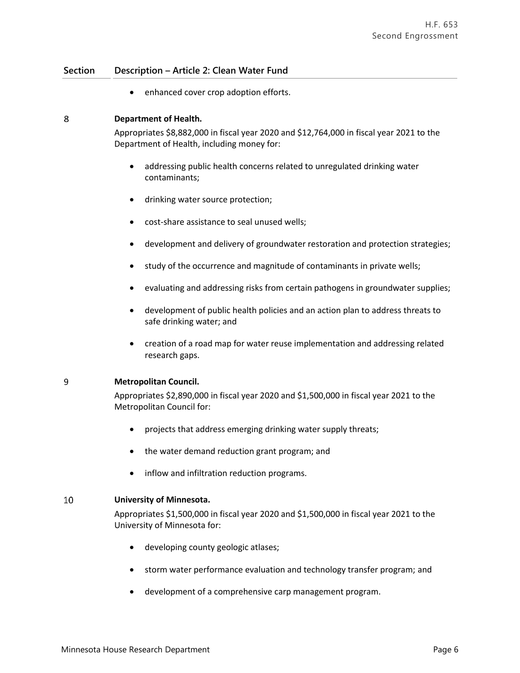• enhanced cover crop adoption efforts.

#### 8 **Department of Health.**

Appropriates \$8,882,000 in fiscal year 2020 and \$12,764,000 in fiscal year 2021 to the Department of Health, including money for:

- addressing public health concerns related to unregulated drinking water contaminants;
- drinking water source protection;
- cost-share assistance to seal unused wells;
- development and delivery of groundwater restoration and protection strategies;
- study of the occurrence and magnitude of contaminants in private wells;
- evaluating and addressing risks from certain pathogens in groundwater supplies;
- development of public health policies and an action plan to address threats to safe drinking water; and
- creation of a road map for water reuse implementation and addressing related research gaps.

#### $\overline{9}$ **Metropolitan Council.**

Appropriates \$2,890,000 in fiscal year 2020 and \$1,500,000 in fiscal year 2021 to the Metropolitan Council for:

- projects that address emerging drinking water supply threats;
- the water demand reduction grant program; and
- inflow and infiltration reduction programs.

#### 10 **University of Minnesota.**

Appropriates \$1,500,000 in fiscal year 2020 and \$1,500,000 in fiscal year 2021 to the University of Minnesota for:

- developing county geologic atlases;
- storm water performance evaluation and technology transfer program; and
- development of a comprehensive carp management program.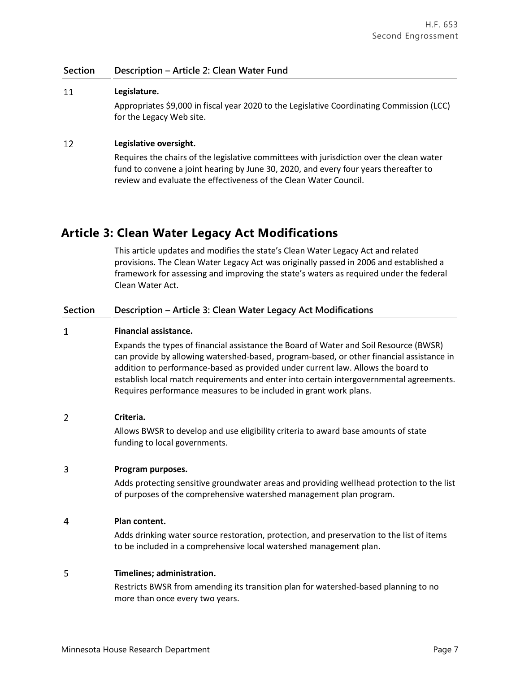#### 11 **Legislature.**

Appropriates \$9,000 in fiscal year 2020 to the Legislative Coordinating Commission (LCC) for the Legacy Web site.

#### 12 **Legislative oversight.**

Requires the chairs of the legislative committees with jurisdiction over the clean water fund to convene a joint hearing by June 30, 2020, and every four years thereafter to review and evaluate the effectiveness of the Clean Water Council.

## **Article 3: Clean Water Legacy Act Modifications**

This article updates and modifies the state's Clean Water Legacy Act and related provisions. The Clean Water Legacy Act was originally passed in 2006 and established a framework for assessing and improving the state's waters as required under the federal Clean Water Act.

### **Section Description – Article 3: Clean Water Legacy Act Modifications**

#### $\mathbf{1}$ **Financial assistance.**

Expands the types of financial assistance the Board of Water and Soil Resource (BWSR) can provide by allowing watershed-based, program-based, or other financial assistance in addition to performance-based as provided under current law. Allows the board to establish local match requirements and enter into certain intergovernmental agreements. Requires performance measures to be included in grant work plans.

#### $\overline{2}$ **Criteria.**

Allows BWSR to develop and use eligibility criteria to award base amounts of state funding to local governments.

#### 3 **Program purposes.**

Adds protecting sensitive groundwater areas and providing wellhead protection to the list of purposes of the comprehensive watershed management plan program.

#### $\overline{4}$ **Plan content.**

Adds drinking water source restoration, protection, and preservation to the list of items to be included in a comprehensive local watershed management plan.

#### 5 **Timelines; administration.**

Restricts BWSR from amending its transition plan for watershed-based planning to no more than once every two years.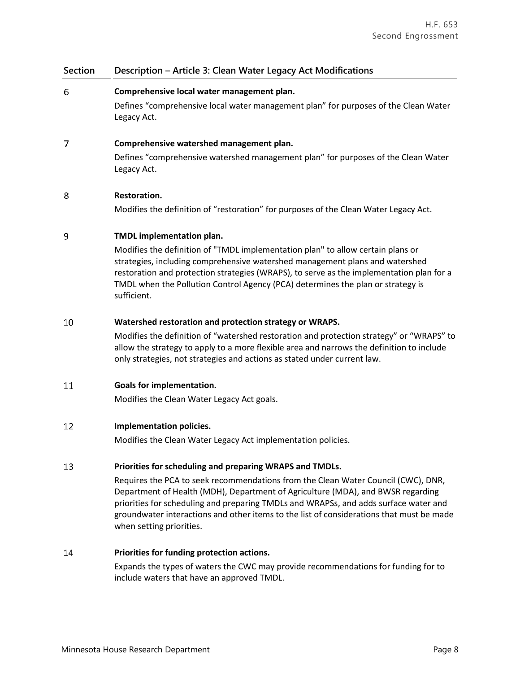### **Section Description – Article 3: Clean Water Legacy Act Modifications**

#### 6 **Comprehensive local water management plan.**

Defines "comprehensive local water management plan" for purposes of the Clean Water Legacy Act.

#### $\overline{7}$ **Comprehensive watershed management plan.**

Defines "comprehensive watershed management plan" for purposes of the Clean Water Legacy Act.

#### 8 **Restoration.**

Modifies the definition of "restoration" for purposes of the Clean Water Legacy Act.

#### 9 **TMDL implementation plan.**

Modifies the definition of "TMDL implementation plan" to allow certain plans or strategies, including comprehensive watershed management plans and watershed restoration and protection strategies (WRAPS), to serve as the implementation plan for a TMDL when the Pollution Control Agency (PCA) determines the plan or strategy is sufficient.

#### 10 **Watershed restoration and protection strategy or WRAPS.**

Modifies the definition of "watershed restoration and protection strategy" or "WRAPS" to allow the strategy to apply to a more flexible area and narrows the definition to include only strategies, not strategies and actions as stated under current law.

#### 11 **Goals for implementation.**

Modifies the Clean Water Legacy Act goals.

#### 12 **Implementation policies.**

Modifies the Clean Water Legacy Act implementation policies.

#### 13 **Priorities for scheduling and preparing WRAPS and TMDLs.**

Requires the PCA to seek recommendations from the Clean Water Council (CWC), DNR, Department of Health (MDH), Department of Agriculture (MDA), and BWSR regarding priorities for scheduling and preparing TMDLs and WRAPSs, and adds surface water and groundwater interactions and other items to the list of considerations that must be made when setting priorities.

#### 14 **Priorities for funding protection actions.**

Expands the types of waters the CWC may provide recommendations for funding for to include waters that have an approved TMDL.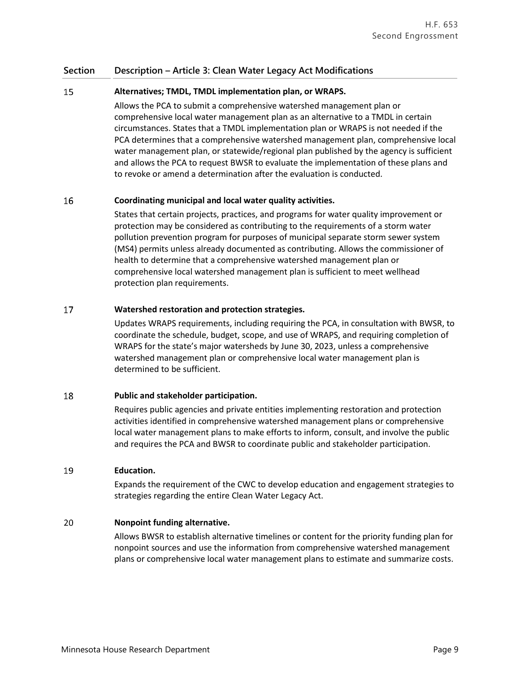### **Section Description – Article 3: Clean Water Legacy Act Modifications**

#### 15 **Alternatives; TMDL, TMDL implementation plan, or WRAPS.**

Allows the PCA to submit a comprehensive watershed management plan or comprehensive local water management plan as an alternative to a TMDL in certain circumstances. States that a TMDL implementation plan or WRAPS is not needed if the PCA determines that a comprehensive watershed management plan, comprehensive local water management plan, or statewide/regional plan published by the agency is sufficient and allows the PCA to request BWSR to evaluate the implementation of these plans and to revoke or amend a determination after the evaluation is conducted.

#### 16 **Coordinating municipal and local water quality activities.**

States that certain projects, practices, and programs for water quality improvement or protection may be considered as contributing to the requirements of a storm water pollution prevention program for purposes of municipal separate storm sewer system (MS4) permits unless already documented as contributing. Allows the commissioner of health to determine that a comprehensive watershed management plan or comprehensive local watershed management plan is sufficient to meet wellhead protection plan requirements.

#### 17 **Watershed restoration and protection strategies.**

Updates WRAPS requirements, including requiring the PCA, in consultation with BWSR, to coordinate the schedule, budget, scope, and use of WRAPS, and requiring completion of WRAPS for the state's major watersheds by June 30, 2023, unless a comprehensive watershed management plan or comprehensive local water management plan is determined to be sufficient.

#### 18 **Public and stakeholder participation.**

Requires public agencies and private entities implementing restoration and protection activities identified in comprehensive watershed management plans or comprehensive local water management plans to make efforts to inform, consult, and involve the public and requires the PCA and BWSR to coordinate public and stakeholder participation.

#### 19 **Education.**

Expands the requirement of the CWC to develop education and engagement strategies to strategies regarding the entire Clean Water Legacy Act.

#### **Nonpoint funding alternative.** 20

Allows BWSR to establish alternative timelines or content for the priority funding plan for nonpoint sources and use the information from comprehensive watershed management plans or comprehensive local water management plans to estimate and summarize costs.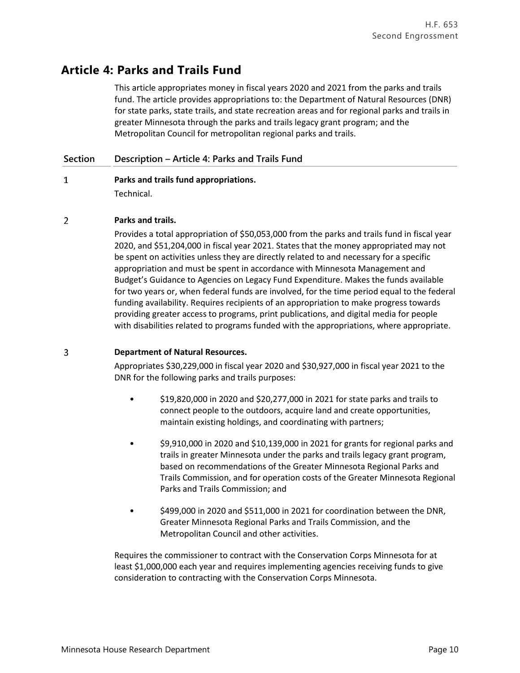# **Article 4: Parks and Trails Fund**

This article appropriates money in fiscal years 2020 and 2021 from the parks and trails fund. The article provides appropriations to: the Department of Natural Resources (DNR) for state parks, state trails, and state recreation areas and for regional parks and trails in greater Minnesota through the parks and trails legacy grant program; and the Metropolitan Council for metropolitan regional parks and trails.

### **Section Description – Article 4: Parks and Trails Fund**

### $\mathbf{1}$ **Parks and trails fund appropriations.** Technical.

#### $\overline{2}$ **Parks and trails.**

Provides a total appropriation of \$50,053,000 from the parks and trails fund in fiscal year 2020, and \$51,204,000 in fiscal year 2021. States that the money appropriated may not be spent on activities unless they are directly related to and necessary for a specific appropriation and must be spent in accordance with Minnesota Management and Budget's Guidance to Agencies on Legacy Fund Expenditure. Makes the funds available for two years or, when federal funds are involved, for the time period equal to the federal funding availability. Requires recipients of an appropriation to make progress towards providing greater access to programs, print publications, and digital media for people with disabilities related to programs funded with the appropriations, where appropriate.

#### $\overline{3}$ **Department of Natural Resources.**

Appropriates \$30,229,000 in fiscal year 2020 and \$30,927,000 in fiscal year 2021 to the DNR for the following parks and trails purposes:

- \$19,820,000 in 2020 and \$20,277,000 in 2021 for state parks and trails to connect people to the outdoors, acquire land and create opportunities, maintain existing holdings, and coordinating with partners;
- \$9,910,000 in 2020 and \$10,139,000 in 2021 for grants for regional parks and trails in greater Minnesota under the parks and trails legacy grant program, based on recommendations of the Greater Minnesota Regional Parks and Trails Commission, and for operation costs of the Greater Minnesota Regional Parks and Trails Commission; and
- \$499,000 in 2020 and \$511,000 in 2021 for coordination between the DNR, Greater Minnesota Regional Parks and Trails Commission, and the Metropolitan Council and other activities.

Requires the commissioner to contract with the Conservation Corps Minnesota for at least \$1,000,000 each year and requires implementing agencies receiving funds to give consideration to contracting with the Conservation Corps Minnesota.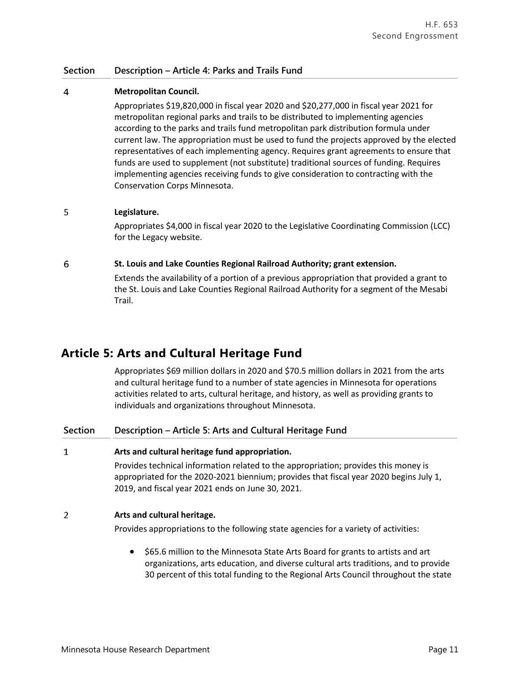### **Section Description – Article 4: Parks and Trails Fund**

#### $\overline{4}$ **Metropolitan Council.**

Appropriates \$19,820,000 in fiscal year 2020 and \$20,277,000 in fiscal year 2021 for metropolitan regional parks and trails to be distributed to implementing agencies according to the parks and trails fund metropolitan park distribution formula under current law. The appropriation must be used to fund the projects approved by the elected representatives of each implementing agency. Requires grant agreements to ensure that funds are used to supplement (not substitute) traditional sources of funding. Requires implementing agencies receiving funds to give consideration to contracting with the Conservation Corps Minnesota.

#### 5 **Legislature.**

Appropriates \$4,000 in fiscal year 2020 to the Legislative Coordinating Commission (LCC) for the Legacy website.

#### 6 **St. Louis and Lake Counties Regional Railroad Authority; grant extension.**

Extends the availability of a portion of a previous appropriation that provided a grant to the St. Louis and Lake Counties Regional Railroad Authority for a segment of the Mesabi Trail.

## **Article 5: Arts and Cultural Heritage Fund**

Appropriates \$69 million dollars in 2020 and \$70.5 million dollars in 2021 from the arts and cultural heritage fund to a number of state agencies in Minnesota for operations activities related to arts, cultural heritage, and history, as well as providing grants to individuals and organizations throughout Minnesota.

### **Section Description – Article 5: Arts and Cultural Heritage Fund**

#### $\mathbf{1}$ **Arts and cultural heritage fund appropriation.**

Provides technical information related to the appropriation; provides this money is appropriated for the 2020-2021 biennium; provides that fiscal year 2020 begins July 1, 2019, and fiscal year 2021 ends on June 30, 2021.

#### $\overline{2}$ **Arts and cultural heritage.**

Provides appropriations to the following state agencies for a variety of activities:

 \$65.6 million to the Minnesota State Arts Board for grants to artists and art organizations, arts education, and diverse cultural arts traditions, and to provide 30 percent of this total funding to the Regional Arts Council throughout the state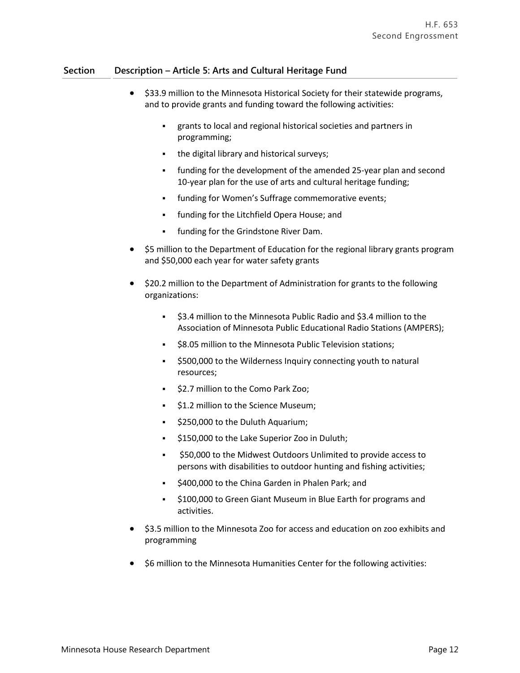### **Section Description – Article 5: Arts and Cultural Heritage Fund**

- \$33.9 million to the Minnesota Historical Society for their statewide programs, and to provide grants and funding toward the following activities:
	- grants to local and regional historical societies and partners in programming;
	- the digital library and historical surveys;
	- funding for the development of the amended 25-year plan and second 10-year plan for the use of arts and cultural heritage funding;
	- funding for Women's Suffrage commemorative events;
	- funding for the Litchfield Opera House; and
	- funding for the Grindstone River Dam.
- \$5 million to the Department of Education for the regional library grants program and \$50,000 each year for water safety grants
- \$20.2 million to the Department of Administration for grants to the following organizations:
	- \$3.4 million to the Minnesota Public Radio and \$3.4 million to the Association of Minnesota Public Educational Radio Stations (AMPERS);
	- **58.05 million to the Minnesota Public Television stations;**
	- \$500,000 to the Wilderness Inquiry connecting youth to natural resources;
	- **52.7 million to the Como Park Zoo;**
	- **51.2 million to the Science Museum;**
	- $\frac{1}{2}$  \$250,000 to the Duluth Aquarium;
	- $\div$  \$150,000 to the Lake Superior Zoo in Duluth;
	- \$50,000 to the Midwest Outdoors Unlimited to provide access to persons with disabilities to outdoor hunting and fishing activities;
	- \$400,000 to the China Garden in Phalen Park; and
	- $\frac{1}{2}$ \$100,000 to Green Giant Museum in Blue Earth for programs and activities.
- \$3.5 million to the Minnesota Zoo for access and education on zoo exhibits and programming
- \$6 million to the Minnesota Humanities Center for the following activities: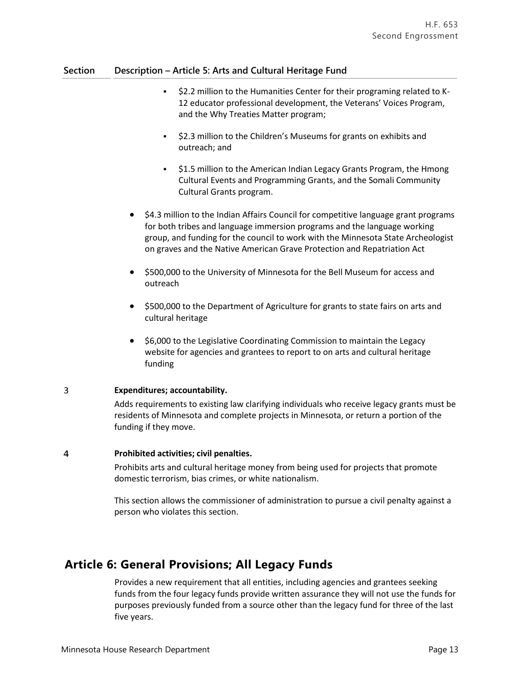### **Section Description – Article 5: Arts and Cultural Heritage Fund**

- \$2.2 million to the Humanities Center for their programing related to K-12 educator professional development, the Veterans' Voices Program, and the Why Treaties Matter program;
- **52.3 million to the Children's Museums for grants on exhibits and** outreach; and
- $\frac{1}{2}$ , \$1.5 million to the American Indian Legacy Grants Program, the Hmong Cultural Events and Programming Grants, and the Somali Community Cultural Grants program.
- \$4.3 million to the Indian Affairs Council for competitive language grant programs for both tribes and language immersion programs and the language working group, and funding for the council to work with the Minnesota State Archeologist on graves and the Native American Grave Protection and Repatriation Act
- \$500,000 to the University of Minnesota for the Bell Museum for access and outreach
- \$500,000 to the Department of Agriculture for grants to state fairs on arts and cultural heritage
- \$6,000 to the Legislative Coordinating Commission to maintain the Legacy website for agencies and grantees to report to on arts and cultural heritage funding

#### $\overline{3}$ **Expenditures; accountability.**

Adds requirements to existing law clarifying individuals who receive legacy grants must be residents of Minnesota and complete projects in Minnesota, or return a portion of the funding if they move.

#### $\overline{4}$ **Prohibited activities; civil penalties.**

Prohibits arts and cultural heritage money from being used for projects that promote domestic terrorism, bias crimes, or white nationalism.

This section allows the commissioner of administration to pursue a civil penalty against a person who violates this section.

## **Article 6: General Provisions; All Legacy Funds**

Provides a new requirement that all entities, including agencies and grantees seeking funds from the four legacy funds provide written assurance they will not use the funds for purposes previously funded from a source other than the legacy fund for three of the last five years.